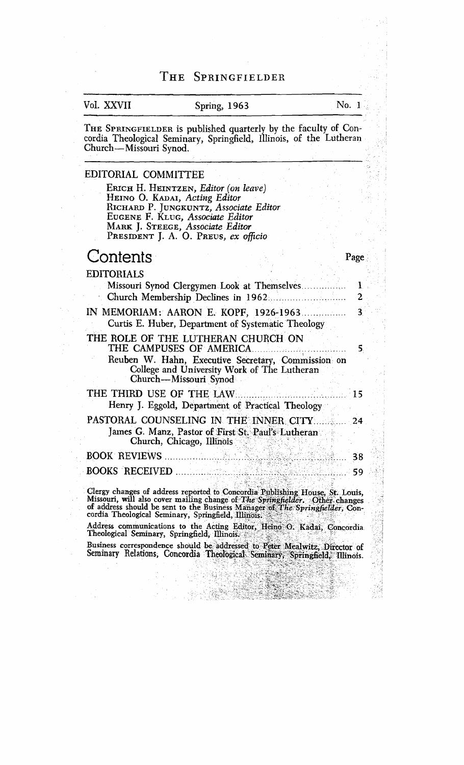#### $\Gamma$ HE SPRINGFIELDER

## Val. XXVII Spring, **1963** No. 1

THE SPRINGFIELDER is published quarterly by the faculty of Concordia Theological Seminary, Springfield, Illinois, of the Lutheran Church-Missouri Synod.

### EDITORIAL COMMITTEE

ERICH H. HEINTZEN, *Editor (on leave)* HEINO 0. KADAI, *Acting Editor*  RICHARD *P.* JUNGKUNTZ, *Associate Editor*  EUGENE *F.* KLUG, *Associate Editor*  MARK J. STEEGE, *Associate Editor*  PRESIDENT *J. A.* 0. PREUS, *ex officio* 

## Contents Page

EDITORIAI S

| Missouri Synod Clergymen Look at Themselves.<br>Church Membership Declines in 1962.<br>فتتنظير وأوتيت بالا                                                                                  |    |  |
|---------------------------------------------------------------------------------------------------------------------------------------------------------------------------------------------|----|--|
| Curtis E. Huber, Department of Systematic Theology                                                                                                                                          | 3  |  |
| THE ROLE OF THE LUTHERAN CHURCH ON<br>THE CAMPUSES OF AMERICA<br>Reuben W. Hahn, Executive Secretary, Commission on<br>College and University Work of The Lutheran<br>Church-Missouri Synod |    |  |
| THE THIRD USE OF THE LAW<br>Henry J. Eggold, Department of Practical Theology                                                                                                               | 15 |  |
| PASTORAL COUNSELING IN THE INNER CITY<br>James G. Manz, Pastor of First St. Paul's Lutheran<br>Church, Chicago, Illinois                                                                    | 24 |  |
| <b>BOOK REVIEWS</b><br>asalah di K                                                                                                                                                          | 38 |  |
| <b>BOOKS RECEIVED.</b>                                                                                                                                                                      | 59 |  |

Clergy changes of address reported to Concordia Publishing House, St. Louis, Missouri, will also cover mailing change of The Springfielder. Other changes of address should be sent to the Business Manager of The Springfield

Address communications to the Acting Editor, Heino O. Kadai, Concordia Theological Seminary, Springfield, Illinois.

Business correspondence should be addressed to Peter Mealwitz, Director of Seminary Relations, Concordia Theological Seminary, Springfield, Illinois.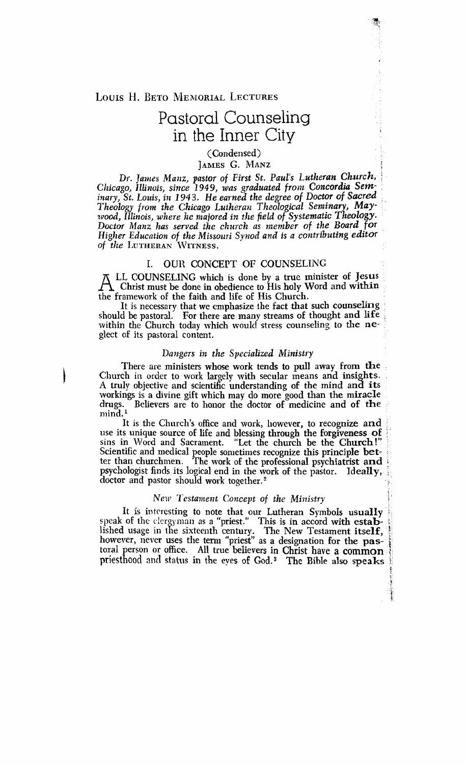LOUIS H. BETO MEMORIAL LECTURES

# Pastoral Counseling in the Inner City

(Condensed) **JAMES G. MANZ** 

*Dr. James Manz, pastor of First St. Paul's Lutheran Church, Chicago, Illinois, since* 1949, *was graduated from Concordia Sem-*<br>*inary, St. Louis, in 1943. He earned the degree of Doctor of Sacred inary, St.* **Louis,** *in* 1943. *He earned the degree of Doctor of Sacred* . *Theology frolvt the Chicago Lutheras Theological Seminar Maylvood, Illinois, where he majored in the field of Systematic Theology.* Doctor Manz has served the church as member of the Board for **Nigher** *Education of the Missorrri Synod and is a* **contributing editor**  of *the LUTHERAN* WITNESS.

#### I. OUR CONCEPT OF COUNSELING

 $\overline{\Delta}$  LL COUNSELING which is done by a true minister of Jesus Christ must be done in obedience to His holy Word and within the framework of the faith and life of His Church.

It is necessary that we emphasize the fact that such counseling should be pastoral. For there are many streams **of** thought and **life** . within the Church today which would stress counseling to **the** neglect of its pastoral content.

#### *Dangers in the Specialized Ministry*

There are ministers whose work tends to pull away from the Church in order to work largely with secular means and insights. A truly objective and scientific understanding of the mind **an8** its workings is a divine gift which may do more good than the miracle drugs. Believers are to honor the doctor of medicine and of the Believers are to honor the doctor of medicine and of the  $mind<sup>1</sup>$ 

It is the Church's office and work, however, to recognize and use its unique source of life and blessing through the forgiveness of sins in Word and Sacrament. "Let the church be the Church!" Scientific and medical people sometimes recognize this principle better than churchmen. The work of the professional psychiatrist and psychologist finds its logical end in the work of the pastor. Ideally, psychologist finds its logical end in the work of the pastor. doctor and pastor should work together.<sup>2</sup>

#### $New$  Testament Concept of the Ministry

It is interesting to note that our Lutheran Symbols usually speak of the clcroyman as a "priest." This is in accord with **estab-** : lished usage in the sixteenth century. The New Testament itself, however, never uses the term "priest" as a designation for the pastoral person or office. All true believers in Christ have a **common <sup>1</sup>** priesthood and status in the **eves** of **God.'** The Bible also speaks *<sup>I</sup>*

> t .<br>કુ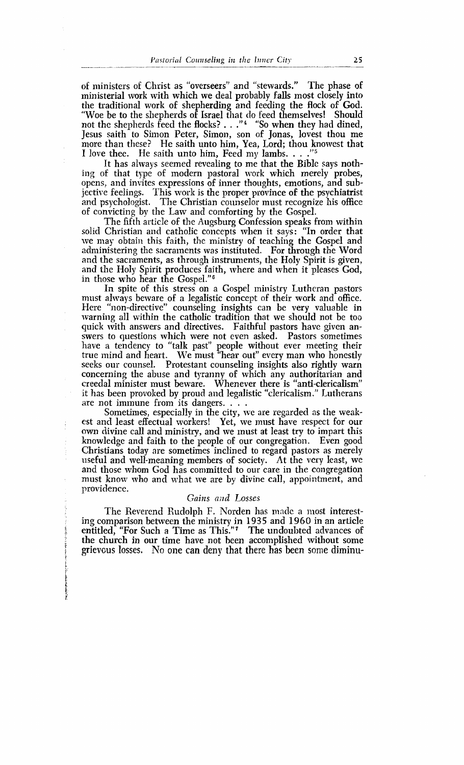of ministers of Christ as "overseers" and "stewards." The phase of ministerial work with which we deal probably falls most closely into the traditional work of shepherding and feeding the flock of God. "Woe be to the shepherds of Israel that do feed themselves! Should not the shepherds feed the flocks? . . ."\* "So when they had dined, Jesus saith to Simon Peter, Simon, son of Jonas, lovest thou me more than these? He saith unto him, Yea, Lord; thou knowest that I love thee. He saith unto him, Feed my lambs. . . . "<sup>5</sup>

It has always seemed revealing to me that the Biblc says nothing of that type of modern pastoral work which merely probes, opens, and invites expressions of inner thoughts, emotions, and subjective feelings. This work is the proper province of the psychiatrist and psychologist. The Christian counselor must recognize his office of convicting by the Law and comforting by the Gospel.

The fifth article of the Augsburg Confession speaks from within solid Christian and catholic concepts when it says: "In order that we may obtain this faith, the ministry of teaching the Gospel and administering the sacraincnts was instituted. For through the Word and the sacraments, as through instruments, the Holy Spirit is given, and the Holy Spirit produces faith, where and when it pleases God, in those who hear the Gospel."<sup>6</sup>

In spite of this stress on a Gospel ministry Lutheran pastors must always beware of a legalistic concept of their work and office. Here 'hon-directive" counseling insights can be very valuable in warning all within the catholic tradition that we should not be too quick with answers and directives. Faithful pastors have given answers to questions which were not even asked. Pastors sometimes have a tendency to "talk past" people without ever meeting their true mind and heart. We must "hear out" every man who honestly seeks our counsel. Protestant counseling insights also rightly warn concerning the abuse and tyranny of which any authoritarian and creedal minister must beware. Whenever there is "anti-clericalism" it has been provoked by proud and legalistic "clericalism." Lutherans

Sometimes, especially in the city, we are regarded as the weakest and least effectual workers! Yet, we must have respect for our own divine call and ministry, and we must at least try to impart this knowledge and faith to the pcople of our congregation. Even good Christians today are sometimes inclined to regard pastors as merely useful and well-meaning members of society. At the very least, we and those whom God has committed to our care in the congregation must know who and what we are by divine call, appointment, and providence.

#### Gains and Losses

The Reverend Rudolph F. Norden has made a most interesting comparison between the ministry in 1935 and 1960 in an article entitled, "For Such a Time as This."<sup>7</sup> The undoubted advances of the church in our time have not been accomplished without some grievous losses. No one can deny that there has been some diminu-

*t*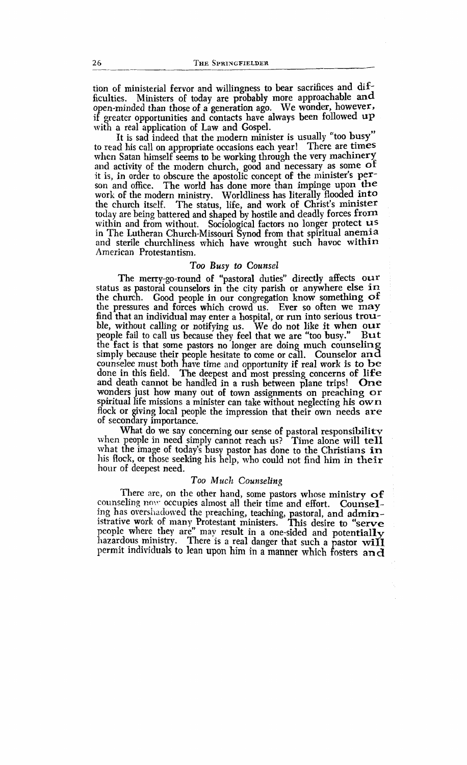tion of ministerial fervor and willingness to bear sacrifices and difficulties. Ministers of today are probably more approachable and open-minded than those of a generation ago. We wonder, however, if greatcr opportunities and contacts have always been followed **up**  with a real application of Law and Gospel.

It is sad indeed that the modern minister is usually "too busy" to read his call on appropriate occasions each year! There are times when Satan himself seems to be working through the very machinery and activity of the modern church, good and necessary as some **of**  it is, in order tc obscure the apostolic concept of the minister's person and office. The world has done more than impinge upon the work of the modern ministry. Worldliness has literally flooded into the church itself. The status, life, and work of Christ's minister The status, life, and work of Christ's minister today are being battered and shaped by hostile and deadly forces from within and from without. Sociological factors no longer protect **us**  in The Lutheran Church-Missouri Synod from that spiritual **anemia**  and sterile churchliness which have wrought such havoc within American Protestantism.

#### *Too Busy to Counsel*

The merry-go-round of "pastoral duties" directly affects our status as pastoral counselors in the city parish or anywhere else **in**  Good people in our congregation know something of the pressures and forces which crowd us. Ever so often we **may**  find that an individual may enter a hospital, or run into serious trouble, without calling or notifying us. We do not like it when our people fail to call us because they feel that we are "too busy." But people fail to call us because they feel that we are "too busy." the fact is that some pastors no longer are doing much counseling simply because their people hesitate to come or call. Counselor an d counselee must both have time and opportunity if real work is to be done in this field. The deepest and most pressing concerns of life and death cannot be handled in a rush between plane trips! One and death cannot be handled in a rush between plane trips! wonders just how many out of town assignments on preaching  $or$ spiritual life missions a minister can take without neglecting his **own**  flock or giving local people the impression that their own needs are of secondary importance.

What do we say concerning our sense of pastoral responsibility when people in need simply cannot reach us? Time alone will tell what the image of today's busy pastor has done to the Christians in his flock, or those seeking his help, who could not find him in **their**  hour of deepest need.

#### *Too Much Coun.seling*

There are, on the other hand, some pastors whose ministry  $of$ counseling now occupies almost all their time and effort. Counseling has overshadowed the preaching, teaching, pastoral, and administrative work of many Protestant ministers. This desire to **"serve**  people where they are" may result in a one-sided and potentially hazardous ministry. There is a real danger that such a pastor will permit individuals to lean upon him in a manner which fosters and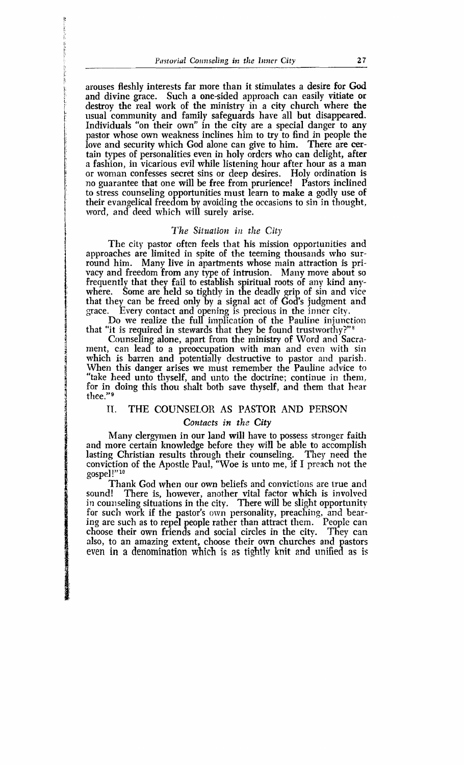-

arouses fleshly interests far more than it stimulates a desire for **God**  and divine grace. Such a one-sided approach can easily vitiate or destroy the real work of the ministry in a city church where the usual community and family safeguards have all but disappeared. Individuals "on their own" in the city are a special danger to any pastor whose own weakness inclines him to try to find in people the love and security which God alone can give to him. There are cerlove and security which God alone can give to him. tain types of personalities even in holy orders who can delight, after a fashion, in vicarious evil while listening hour after hour as a man or woman confesses secret sins or deep desires. Holv ordination is no guarantee that one will be free from prurience! P'astors inclined to stress counseling opportunities must learn to make a godly use of their evangelical freedom by avoiding the occasions to sin in thought. word, and deed which will surely arise.

#### *The Situation in the City*

The city pastor often feels that his mission opportunities and approaches are limited in spite of the teeming thousands who surround him. Many live in apartments whose main attraction is privacy and freedom from any type of intrusion. Many move about so frequently that they fail to establish spiritual roots of any kind anywhere. Some are held so tightly in the deadly grip of sin and vice that they can be freed only by a signal act of God's judgment and grace. Every contact and opening is precious in the inner city.

Do we realize the full implication of the Pauline injunction that "it is required in stewards that they be found trustworthy?" $*$ 

Counseling alone, apart from the ministry of Word and Sacrament, can lead to a preoccupation with man and even with sin which is barren and potentially destructive to pastor and parish. When this danger arises we inust remember the Pauline advice **to**  "take heed unto thyself, and unto the doctrine; continue in them, for in doing this thou shalt both save thyself, and them that hear thee."<sup>9</sup>

### **TI.** THE COUNSELOR AS PASTOR AND PERSON

### Contacts in the **City**

Many clergymen in our land will have to possess stronger faith and more certain knowledge before they will be able to accomplish lasting Christian results through their counseling: They need the conviction of the Apostle Paul, "Woe is unto me, if I preach not the gospel **!"lo** 

Thank God when our own beliefs and convictions are true and sound! There is, however, another vital factor which is involved There is, however, another vital factor which is involved in counseling situations in the city. There will be slight opportunity for such work if the pastor's own personality, preaching, and bearing are such as to repel people rather than attract them. People can choose their own friends and social circles in the city. They can also, to an amazing extent, choose their om churches and pastors even in a denomination which **is as** tightly **knit** and unified as **is**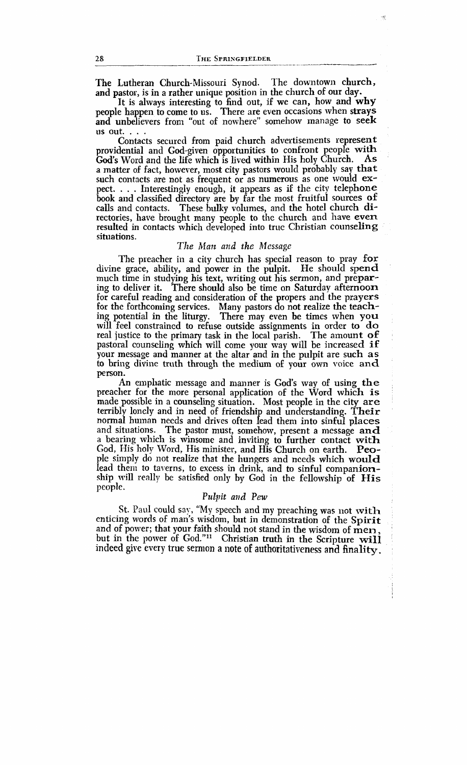The Lutheran Church-Missouri Synod. The downtown church, and pastor, is in a rather unique position in the church of our day.

It is always interesting to find out, if we can, how and **why**  people happen to come to us. There are even occasions when strays and unbelievers from "out of nowhere" somehow manage to seek

us out. . . . . Contacts secured from paid church advertisements represent providential and God-given opportunities to confront people with<br>God's Word and the life which is lived within His holy Church As God's Word and the life which is lived within His holy Church. a matter of fact, howerer, most city pastors would probably say **that**  such contacts are not as frequent or as numerous as one would expect. . . . Interestingly enough, it appears as if the city telephone book and classified directory are by far the most fruitful sources of calls and contacts. These bulky volumes, and the hotel church directories, have brought many people to the church and have **even**  resulted in contacts which developed into true Christian counseling situations.

#### The *Man and the Alessnge*

The preacher in a city church has special reason to pray for divine grace, ability, and power in the pulpit. He should spend much time in studying his text, writing out his sermon, and preparing to deliver it. There should also be time on Saturday afternoon for careful reading and consideration of the propers and the prayers for the forthcoming services. Many pastors do not realize the teaching potential in the liturgy. There may even be times when **you**  will feel constrained to refuse outside assignments in order to **do**  real justice to the primary task in the local parish. The amount of pastoral counseling which will come your way will be increased  $if$ your message and manner at the altar and in the pulpit are such as to bring divine truth through the medium of your own voice and person.

An emphatic message and manner is God's way of using **the**  preacher for the more personal application of the Word which is made possible in a counseling situation. Most people in the city **are**  terribly lonely and in need of friendship and understanding. Their normal human needs and drives often lead them into sinful places and situations. The pastor must, somehow, present a message and a bearing which is winsome and inviting to further contact with God, His holy Word, His minister, and His Church on earth. People simply do not realize that the hungers and needs which would lead them to taverns, to excess in drink, and to sinful companionship will really be satisfied only by God in the fellowship of His **<sup>y</sup>eople** . *Pulpit and Pew* 

St. Paul could say, "My speech and my preaching was not with enticing words of man's wisdom, but in demonstration of the Spirit and of power; that your faith should not stand in the wisdom of men, but in the power of God."" Christian truth in the Scripture **will**  indeed give every true sermon a note of authoritativeness and finality.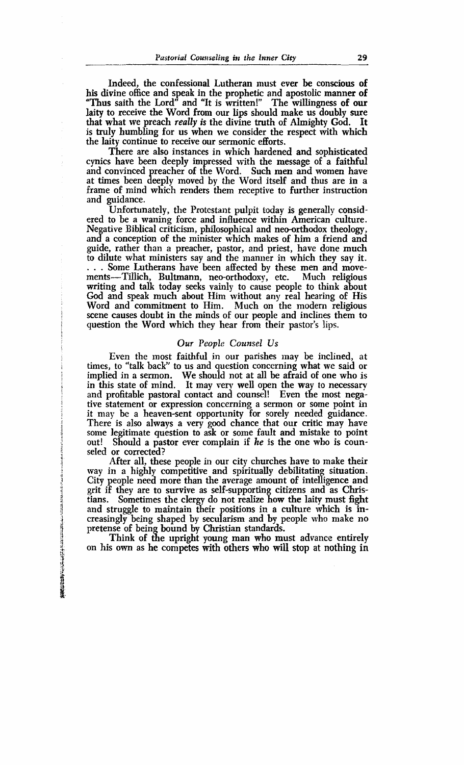Indeed, the confessional Lutheran must ever be conscious of his divine office and speak in the prophetic and apostolic manner of "Thus saith the Lord" and "It is written!" The willingness of our laity to receive the Word from our lips should make us doubly sure that what we preach really **is** the divine truth of Almighty God. It is truly humbling for us when we consider the respect with which the laity continue to receive our sermonic efforts.

There are also instances in which hardened and sophisticated cynics have been deeply impressed with the message of a faithful and convinced preacher of the Word. Such men and women have at times been deeply moved by the Word itself and thus are in a frame of mind which renders them receptive to further instruction and guidance.

Unfortunately, the Protestant pulpit today is generally considered to be a waning force and influence within American culture. Negative Biblical criticism, philosophical and neo-orthodox theology, and a conception of the minister which makes of him a friend and guide, rather than a preacher, pastor, and priest, have done much to dilute what ministers say and the manner in which they say it. . . . Some Lutherans have been affected by these men and movements-Tillich, Bultmann, neo-orthodoxy, etc. Much religious writing and talk today seeks vainly to cause people to think about God and speak much about Him without any real hearing of His Word and commitment to Him. Much on the modern religious scene causes doubt in the minds of our people and inclines them to question the Word which they hear from their pastor's lips.

#### *Our People Counsel Us*

Even the most faithful in our parishes may be inclined, at times, to "talk back" to us and question concerning what we said or implied in a sermon. We should not at all be afraid of one who is<br>in this state of mind. It may very well open the way to necessary and profitable pastoral contact and counsel! Even the most negative statement or expression concerning a sermon or some point in it may be a heaven-sent opportunity for sorely needed guidance. There is also always a very good chance that our critic may have some legitimate question to ask or some fault and mistake to point out! Should a pastor ever complain if  $he$  is the one who is counseled or corrected?

After all, these people in our city churches have to make their way in a highly competitive and spiritually debilitating situation. City people need more than the average amount of intelligence and grit if they are to survive as self-supporting citizens and as Christians. Sometimes the clergy do not realize how the laity must fight **g** and struggle to maintain their positions in a culture which is inand struggle to *maintant* their positions in a culture which is in pretense of being bound by Christian standards.

Think of the upright young man who must advance entirely on his own as he competes with others **who** will stop at nothing in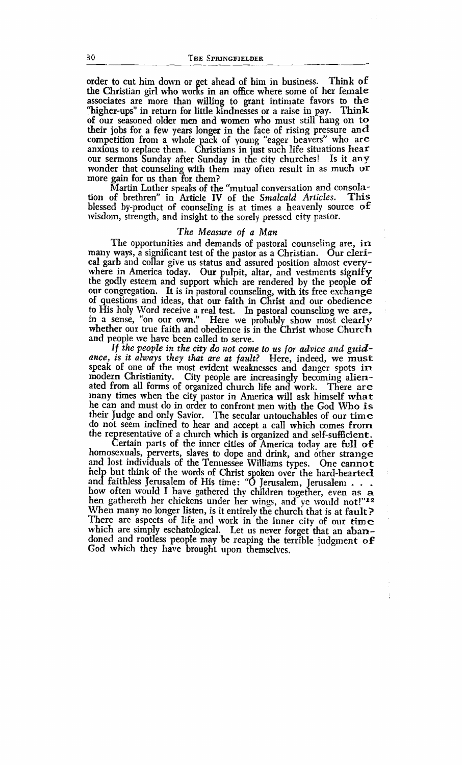order to cut him down or get ahead of him in business. Think of the Christian girl who works in an office where some of her female associates are more than willing to grant intimate favors to the "higher-ups" in return for little kindnesses or a raise in pay. Think of our seasoned older men and women who must still hang on to their jobs for a few years longer in the face of rising pressure and competition from a whole pack of young "eager beavers" who are anxious to replace them. Christians in just such life situations hear our sermons Sunday after Sunday in the city churches! Is it any wonder that counseling with them may often result in as much **or**  more gain for us than for them?

Martin Luther speaks of the "mutual conversation and consola-<br>of brethren" in Article IV of the Smalcald Articles. This tion of brethren" in Article IV of the *Smalcald Articles*. blessed by-product of counseling is at times a heavenly source **oE**  wisdom, strength, and insight to the sorely pressed city pastor.

### *The Measure of a Man*

The opportunities and demands of pastoral counseling are, in many ways, a significant test of the pastor as a Christian. Our clerical garb and collar give us status and assured position almost everywhere in America today. Our pulpit, altar, and vestments signify the godly esteem and support which are rendered by the people of our congregation. It is in pastoral counseling, with its free exchange of questions and ideas, that our faith in Christ and our obedience to His holy Word receive a real test. In pastoral counseling we are, in a sense, "on our own." Here we probably show most clearly whether our true faith and obedience is in the Christ whose Church and people we have been called to serve.

*If the people in the city do* **not** *come to us for advice and* **guid**ance, is it always they that are at fault? Here, indeed, we must speak of one of the most evident weaknesses and danger spots in modern Christianity. City people are increasingly becoming alienated from all forms of organized church life and work. There are many times when the city pastor in Anlerica will ask himself **what**  he can and must do in order to confront men with the God Who is their Judge and only Savior. The secular untouchables of our time do not seem inclined to hear and accept a ca1I which comes from the representative of a church which is organized and self-sufficient.

Certain parts of the inner cities of America today are **full** of homosexuals, perverts, slaves to dope and drink, and other strange and lost individuals of the Tennessee Williams types. One cannot help but think of the words of Christ spoken over the hard-hearted<br>and faithless Jerusalem of His time: "O Jerusalem, Jerusalem . . .<br>how often would I have gathered thy children together, even as a hen gathereth her chickens under her wings, and ye would not!"12 When many no longer listen, is it entirely the church that is at fault? There are aspects of life and work in the inner city of our time which are simply eschatological. Let us never forget that an abandoned and rootless people may be reaping the terrible judgment of God which they have brought upon themselves,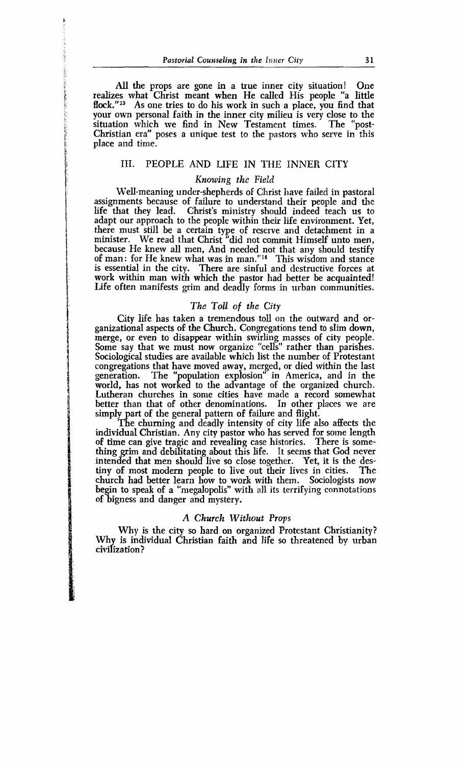All the props are gone in a true inner city situation! One **5.** realizes what Christ meant when He called His people "a little flock."<sup>13</sup> As one tries to do his work in such a place, you find that your own personal faith in the inner city milieu is very close to the situation which we find in New Testament times. The "post-Christian era" poses a unique test to the pastors who serve in this place and time.

#### III. PEOPLE AND LIFE IN THE INNER CITY

## 1 *Knozvilzg thc* Field

Well-meaning under-shepherds of Christ have failed in pastoral assignments because of failure to understand their people and **the**  life that they lead. Christ's ministry should indeed teach us to adapt our approach to the people within their life environment. Yet, there must still be a certain type of reserve and detachment in a minister. We read that Christ "did not commit Himself unto men, because He knew all men, And needed not that any should testify of man: for He knew what was in man."14 This wisdom and stance is essential in the city. There are sinful and destructive forces at work within man with which the pastor had better be acquainted! Life often manifests grim and deadly forms in urban communities.

### *The Toll of the* **City**

City life has taken a tremendous toll on the outward and organizational aspects of the Church. Congregations tend to slim down, merge, or even to disappear within swirling masses of city people. Some say that we must now organize "cells" rather than parishes. Sociological studies are available which list the number of Protestant congregations that have moved away, merged, or died within the last generation. The "population explosion" in America, and in the world, has not worked to the advantage of the organized church. Lutheran churches in some cities have made a record somewhat better than that of other denominations. In other places we are simply part of the general pattern of failure and flight.

The churning and deadly intensity of city life also affects the individual Christian. Any city pastor who has served for some length of time can give tragic and revealing case histories. There is something grim and debilitating about this life. It seems that God never intended that men should live so close together. Yet, it is the destiny of most modern people to live out their lives in cities. The tiny of most modern people to live out their lives in cities. church had better learn how to work with them. Sociologists now begin to speak of a "megalopolis" with all its terrifying connotations of bigness and danger and mystery.

#### A Church Without Props

Why is the city so hard on organized Protestant Christianity? Why is individual Christian faith and life so threatened by urban civi *f* iza tion ?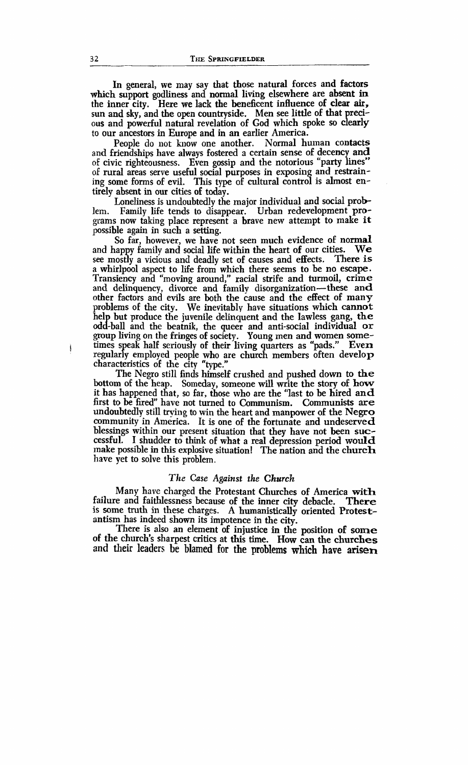In general, we may say that those natural forces and factors which support godliness and normal living elsewhere are absent in the inner city. Here **we** lack the beneficent influence of clear air, sun and sky, and the open countryside. Men see little of that precito our ancestors in Europe and in an earlier America. ous and powerful natural revelation of God which spoke so clearly

People do not know one another. Normal human contacts and friendships have always fostered a certain sense of decency and of civic righteousness. Even gossip and the notorious "party lines" of rural areas serve useful social purposes in exposing and restraining some forms of evil. This type of cultural control is almost entirely absent in our cities of today.

Loneliness is undoubtedly the major individual and social problem. Family life tends to disappear. Urban redevelopment programs now taking place represent a brave new attempt to make it possible again in such a setting.

So far, however, we have not seen much evidence of normal<br>nappy family and social life within the heart of our cities. We and happy family and social life within the heart of our cities. see mostly a vicious and deadly set of causes and effects. There is a whirlpool aspect to life from which there seems to be no escape. Transiency and "moving around," racial strife and turmoil, crime and delinquency, divorce and family disorganization—these and other factors and evils are both the cause and the effect of many problems of the city. We inevitably have situations which cannot help but produce the juvenile delinquent and the lawless gang, the odd-ball and the beatnik, the queer and anti-social individual or group living on the fringes of society. Young men and women some-times speak half seriously of their living quarters as "pads." Even itimes speak half seriously of their living quarters as "pads." Even<br>regularly employed people who are church members often develop<br>characteristics of the city "type."

The Negro still finds himself crushed and pushed down to **the**  bottom of the heap. Someday, someone will write the story of how it has happened that, so far, those who are the "last to be hired and first to be fired" have not turned to Communism. Communists **are**  undoubtedly still **trying** to win the heart and manpower of the **Negro**  community in America. It is one of the fortunate and undeserved blessings within our present situation that they have not been successful. I shudder to think of what a real depression period would make possible in this explosive situation! The nation and the church have yet to solve this problem.

#### *The Case Against the Church*

Many have charged the Protestant Churches of America with failure and faithlessness because of the inner city debacle. There is some truth in these charges. A humanistically oriented Protestantism has indeed shown its impotence in the city.

There is also an element of injustice in the position of **some**  of the church's sharpest critics at this time. How can the churches and their leaders be **blamed for the problems which have arisen**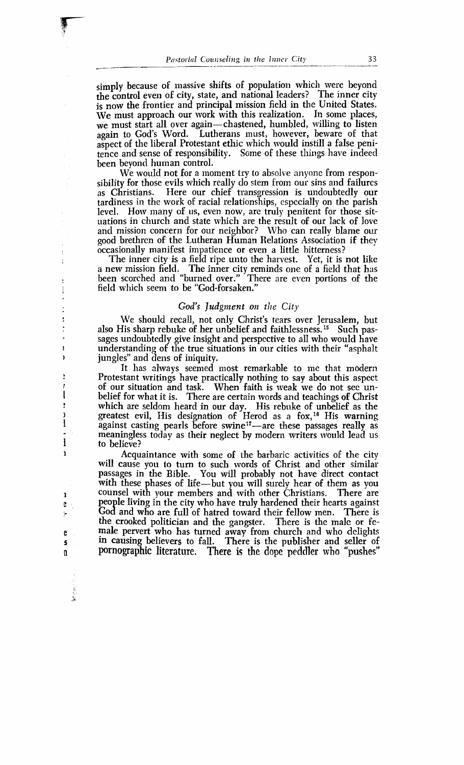simply because of massive shifts of population which were beyond the control even of city, state, and national leaders? The inner city is now the frontier and principal mission field in the United States.  $\overline{w}$  must approach our work with this realization. In some places, we must start all over again—chastened, humbled, willing to listen again to God's Word. Lutherans must, however, beware of that aspect of the liberal Protestant ethic which would instill a false penitence and sense of responsibility. Some of these things have indeed been beyond human control.

We would not for a moment try to absolve anyone from responsibility for those evils which really do stem from our sins and failures as Christians. Here our chief transgression is undoubtedly our tardiness in the work of racial relationships, especially on the parish level. How many of us, even now, are truly penitent for those situations in church and state which are the result of our lack of love and mission concern for our neighbor? Who can really blame our good brethren of the Lutheran Human Relations Association if they occasionally manifest impatience or even a little bitterness?

The inner city is a field ripe unto the harvest. Yet, it is not like a new mission field. The inner city reminds one of a field that has been scorched and "burned over." There are even portions of the field which seem to be "God-forsaken."

#### *God's Judgment on the City*

We should recall, not only Christ's tears over Jerusalem, but also His sharp rebuke of her unbelief and faithlessness.<sup>15</sup> Such passages undoubtedly give insight and perspective to all who would have understanding of the true situations in our cities with their "asphalt jungles" and dens of iniquity.

It has always seemed most remarkable to me that modern Protestant writings have practically nothing to say about this aspect of our situation and task. When faith is weak we do not sec unbelief for what it is. There are certain words and teachings of Christ which are seldom heard in our day. His rebuke of unbelief as the greatest evil, His designation of Herod as a fox,<sup>16</sup> His warning against casting pearls before swine<sup>17</sup>-are these passages really as meaningless today as their neglect by modern writers would lead us to believe?

Acquaintance with some of the barbaric activities of the city will cause you to turn to such words of Christ and other similar passages in the Bible. You will probably not have direct contact with these phases of life-but you will surely hear of them as you counsel with your members and with other Christians. There are people living in the city who have truly hardened their hearts against God and who are full of hatred toward their fellow men. There is the crooked politician and the gangster. There is the male or female pervert who has turned away from church and who delights **<sup>s</sup>**in causing believers to fall. There is the pnblisher and seller of n **pornographic literatore. There is the** dope peddler who **"pushes"**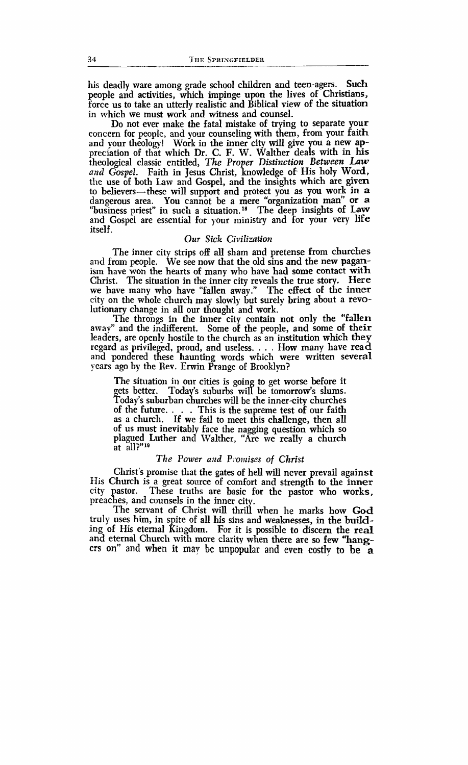his deadly ware among grade school children and teen-agers. Such people and activities, which impinge upon the lives of Christians, force us to take an utterly realistic and Biblical view of the situation in which we must work and witness and counsel.

Do not ever make the fatal mistake of trying to separate your concern for people, and your counseling with them, from your faith and your theology! Work in the inner city will give you a new appreciation of that which Dr. C. F. W. Walther deals with in his theological classic entitled, *The* Proper *Distinction Between Law and Gospel.* Faith in Jesus Christ, knowledge of. His holy Word, the use of both Law and Gospel, and the insights which are given to believers-these will support and protect you as you work in a dangerous area. You cannot be a mere "organization man" or a "business priest" in such a situation.<sup>18</sup> The deep insights of Law and Gospel are essential for your ministry and for your very life itself.

#### *Our Sick* **Civilization**

The inner city strips off all sham and pretense from churches and from people. We see now that the old sins and the new paganism have won the hearts of many who have had some contact with Christ. The situation in the inner city reveals the true story. Here we have many who have "fallen away." The effect of the inner city on the whole church may slowly but surely bring about a revolutionary change in all our thought and work.

The throngs in the inner city contain not only the "fallen away" and the indifferent. Some of the people, and some of their leaders, are openly hostile to the church as an institution which they regard as privileged, proud, and useless. . . . How many have read and pondered these haunting words which were written several years ago by the Rev. Erwin Prange of Brooklyn?

The situation in our cities is going to get worse before it gets better. Today's suburbs will be tomorrow's slums. Today's suburban churches will be the inner-city churches of the future. . . . This is the supreme test of our faith as a church. If we fail to meet this challenge, then all of us must inevitably face the nagging question which so plagued Luther and Walther, "Are we really a church at all?"<sup>19</sup>

#### *The Power and Promises of Christ*

Christ's promise that the gates of hell will never prevail against His Church is a great soarce of comfort and strength to the **inner**  city pastor. These truths are basic for the pastor who works, preaches, and counsels in the inner city.

The servant of Christ will thrill when he marks how God truly uses him, in spite of all his sins and weaknesses, in the building of His eternal Kingdom. For it is possible to discern the real and eternal Church with more clarity when there are so few "hang**en on''** and **when** it may be **unpopular and even costlv to** be **a**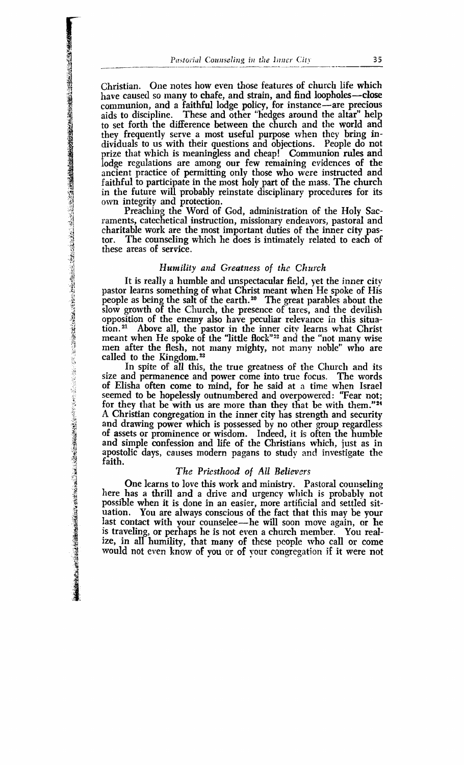Christian. One notes how even those features of church life which have caused so many to chafe, and strain, and find loopholes-close communion, and a faithful lodge policy, for instance-are precious aids to discipline. These and other "hedges around the altar" help to set forth the difference between the church and the world and they frequently serve a most useful purpose when they bring individuals to us with their questions and objections. People do not prize that which is meaningless and cheap! Communion rules and lodge regulations are among our few remaining evidences of the ancient practice of permitting only those who were instructed and faithful to participate in the most holy part of the mass. The church in the future **will** probably reinstate disciplinary procedures for its own integrity and protection.

Preaching the Word of God, administration of the Holy Sacraments, catechetical instruction, missionary endeavors, pastoral and charitable work are the most important duties of the inner city pastor. The counseling which he does is intimately related to each of these areas of service.

#### *Humility and Greatness of the Church*

It is really a humble and unspectacular field, yet the inner city pastor learns something of what Christ meant when He spoke of His people as being the salt of the earth.<sup>20</sup> The great parables about the slow growth of the Church, the presence of tares, and the devilish opposition of the enemy also have peculiar relevance in this situation.<sup>21</sup> Above all, the pastor in the inner city learns what Christ meant when He spoke of the "little flock"<sup>22</sup> and the "not many wise men after the flesh, not many mighty, not many noble" who are called to the Kingdom. $23$ 

In spite of all this, the true greatness of the Church and its size and permanence and power come into true focus. The words of Elisha often come to mind, for he said at a time when Israel seemed to be hopelessly outnumbered and overpowered: "Fear not; for they that be with us are more than they that be with them."24 A Christian congregation in the inner city has strength and security and drawing power which is possessed by no other group regardless **<sup>5</sup>**of assets or prominence or wisdom. Indeed, it is often the humble and simple confession and life of the Christians which, just as in apostolic days, causes modern pagans to study and investigate the faith.

#### **<sup>j</sup>***The* Priesthood **of** *All* Believers

One learns to love this work and ministry. Pastoral counseling here has a thrill and a drive and urgency which is probably not possible when it is done in an easier, more artificial and settled situation. You are always conscious of the fact that this may be your last contact with your counselee—he will soon move again, or he is traveling, or perhaps he is not even a church member. You realize, in all humility, that manv of these people who call or come would not even know of **you or** of yoor congegation if it were not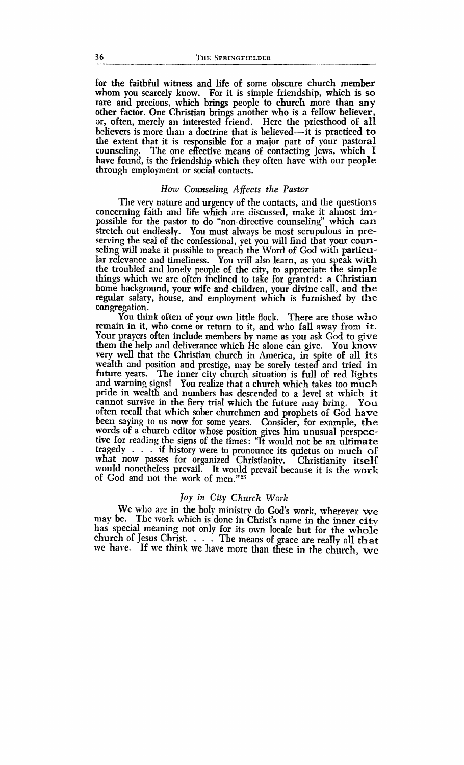for the faithful witness and life of some obscure church member whom you scarcely know. For it is simple friendship, which is so rare and precious, which brings people to church more than any other factor. **One** Chiistian brings another who is a fellow believer, or, often, merely an interested friend. Here the priesthood of all believers is more than a doctrine that is believed—it is practiced to the extent that it is responsible for a major part of your pastoral counseling. The one effective means of contacting Jews, which I have found, is the friendship which they often have with our people through employment or social contacts.

#### How Counseling Affects the Pastor

The very nature and urgency of the contacts, and the questions concerning faith and life which are discussed, make it almost impossible for the pastor to do "non-directive counseling" which can stretch out endlessly. You must always be most scrupulous in preserving the seal of the confessional, yet you will find that your counseling will make it possible to preach the Word of God with particular relevance and timeliness. You will also learn, as you speak with the troubled and lonely people of the city, to appreciate the simple things which we are often inclined to take for granted: a Christian home background, your wife and children, your divine call, and the regular salary, house, and employment which is furnished by the congregation.

You think often of your own little flock. There are those who remain in it, who come or return to it, and who fall away from it. Your prayers often include members by name as you ask God to give them the help and deliverance which He alone can give. You know very well that the Christian church in America, in spite of all its wealth and position and prestige, may be sorely tested and tried in future years. The inner city church situation is full of red lights and warning signs! You realize that a church which takes too much pride in wealth and numbers has descended to a level at which it cannot survive in the fiery trial which the future may bring. You often recall that which sober churchmen and prophets of God have been saying to us now for some years. Consider, for example, the words of a church editor whose position gives him unusual perspecive for reading the signs of the times: "It would not be an ultimate tragedy . . . if history were to pronounce its quietus on much of what now passes for organized Christianity. Christianity itself what now passes for organized Christianity. would nonetheless prevail. It would prevail because it is the work of God and not the work of men."25

#### Joy **in City** *Church* **Work**

We who are in the holy ministry do God's work, wherever we may be. The work which is done in Christ's name in the inner city may be. The work which is done in Christ's name in the inner city has special meaning not only for its own locale but for the whole church of Jesus Christ. . . . The means of grace are really all that we hare. If **we think we have** more **than these in** the **church, we**